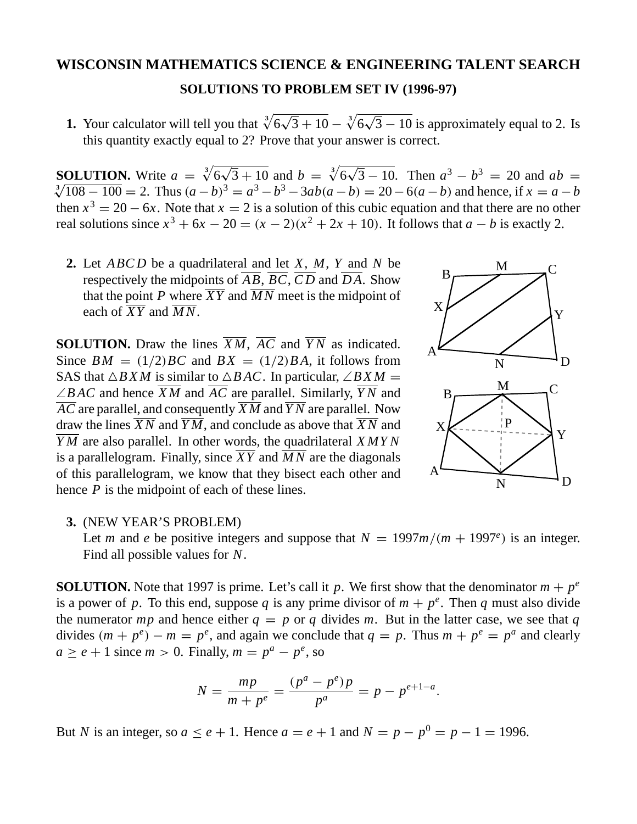## **WISCONSIN MATHEMATICS SCIENCE & ENGINEERING TALENT SEARCH SOLUTIONS TO PROBLEM SET IV (1996-97)**

**1.** Your calculator will tell you that  $\sqrt[3]{6\sqrt{3}+10} - \sqrt[3]{6\sqrt{3}-10}$  is approximately equal to 2. Is this quantity exactly equal to 2? Prove that your answer is correct.

**SOLUTION.** Write  $a = \sqrt[3]{6\sqrt{3} + 10}$  and  $b = \sqrt[3]{6}$ **SOLUTION.** Write  $a = \sqrt[3]{6\sqrt{3} + 10}$  and  $b = \sqrt[3]{6\sqrt{3} - 10}$ . Then  $a^3 - b^3 = 20$  and  $ab = \sqrt[3]{108 - 100} = 2$ . Thus  $(a - b)^3 = a^3 - b^3 - 3ab(a - b) = 20 - 6(a - b)$  and hence, if  $x = a - b$ then  $x^3 = 20 - 6x$ . Note that  $x = 2$  is a solution of this cubic equation and that there are no other real solutions since  $x^3 + 6x - 20 = (x - 2)(x^2 + 2x + 10)$ . It follows that  $a - b$  is exactly 2.

**2.** Let *ABCD* be a quadrilateral and let *X*, *M*, *Y* and *N* be respectively the midpoints of  $\overline{AB}$ ,  $\overline{BC}$ ,  $\overline{CD}$  and  $\overline{DA}$ . Show that the point *P* where  $\overline{XY}$  and  $\overline{MN}$  meet is the midpoint of each of  $\overline{XY}$  and  $\overline{MN}$ .

**SOLUTION.** Draw the lines  $\overline{XM}$ ,  $\overline{AC}$  and  $\overline{YN}$  as indicated. Since  $BM = (1/2)BC$  and  $BX = (1/2)BA$ , it follows from SAS that  $\triangle BXM$  is similar to  $\triangle BAC$ . In particular, ∠*BXM* = ∠*B AC* and hence *X M* and *AC* are parallel. Similarly, *Y N* and *AC* are parallel, and consequently *X M* and *Y N* are parallel. Now draw the lines  $\overline{XN}$  and  $\overline{YM}$ , and conclude as above that  $\overline{XN}$  and *Y M* are also parallel. In other words, the quadrilateral *XMYN* is a parallelogram. Finally, since  $\overline{XY}$  and  $\overline{MN}$  are the diagonals of this parallelogram, we know that they bisect each other and hence *P* is the midpoint of each of these lines.



## **3.** (NEW YEAR'S PROBLEM)

Let *m* and *e* be positive integers and suppose that  $N = 1997m/(m + 1997e)$  is an integer. Find all possible values for *N*.

**SOLUTION.** Note that 1997 is prime. Let's call it *p*. We first show that the denominator  $m + p^e$ is a power of p. To this end, suppose q is any prime divisor of  $m + p^e$ . Then q must also divide the numerator *mp* and hence either  $q = p$  or q divides m. But in the latter case, we see that q divides  $(m + p^e) - m = p^e$ , and again we conclude that  $q = p$ . Thus  $m + p^e = p^a$  and clearly  $a \ge e + 1$  since  $m > 0$ . Finally,  $m = p^a - p^e$ , so

$$
N = \frac{mp}{m + p^e} = \frac{(p^a - p^e)p}{p^a} = p - p^{e+1-a}.
$$

But *N* is an integer, so  $a \le e + 1$ . Hence  $a = e + 1$  and  $N = p - p^0 = p - 1 = 1996$ .